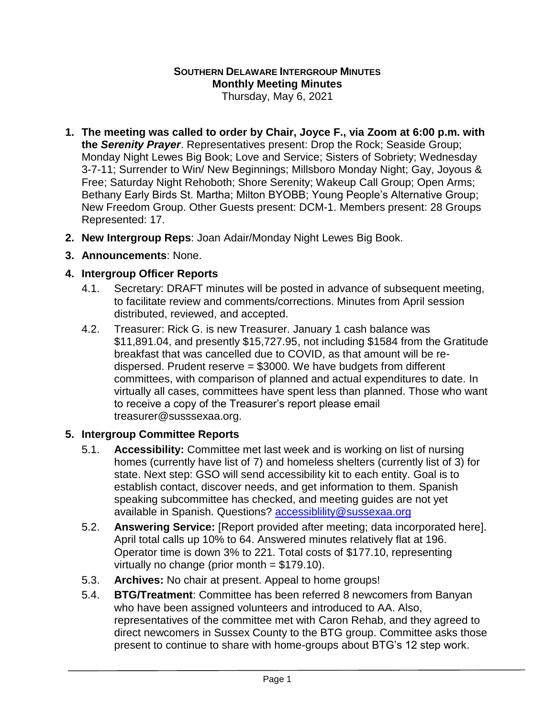## **SOUTHERN DELAWARE INTERGROUP MINUTES Monthly Meeting Minutes**

Thursday, May 6, 2021

- **1. The meeting was called to order by Chair, Joyce F., via Zoom at 6:00 p.m. with the** *Serenity Prayer*. Representatives present: Drop the Rock; Seaside Group; Monday Night Lewes Big Book; Love and Service; Sisters of Sobriety; Wednesday 3-7-11; Surrender to Win/ New Beginnings; Millsboro Monday Night; Gay, Joyous & Free; Saturday Night Rehoboth; Shore Serenity; Wakeup Call Group; Open Arms; Bethany Early Birds St. Martha; Milton BYOBB; Young People's Alternative Group; New Freedom Group. Other Guests present: DCM-1. Members present: 28 Groups Represented: 17.
- **2. New Intergroup Reps**: Joan Adair/Monday Night Lewes Big Book.
- **3. Announcements**: None.

## **4. Intergroup Officer Reports**

- 4.1. Secretary: DRAFT minutes will be posted in advance of subsequent meeting, to facilitate review and comments/corrections. Minutes from April session distributed, reviewed, and accepted.
- 4.2. Treasurer: Rick G. is new Treasurer. January 1 cash balance was \$11,891.04, and presently \$15,727.95, not including \$1584 from the Gratitude breakfast that was cancelled due to COVID, as that amount will be redispersed. Prudent reserve = \$3000. We have budgets from different committees, with comparison of planned and actual expenditures to date. In virtually all cases, committees have spent less than planned. Those who want to receive a copy of the Treasurer's report please email treasurer@susssexaa.org.

## **5. Intergroup Committee Reports**

- 5.1. **Accessibility:** Committee met last week and is working on list of nursing homes (currently have list of 7) and homeless shelters (currently list of 3) for state. Next step: GSO will send accessibility kit to each entity. Goal is to establish contact, discover needs, and get information to them. Spanish speaking subcommittee has checked, and meeting guides are not yet available in Spanish. Questions? [accessiblility@sussexaa.org](mailto:accessiblility@sussexaa.org)
- 5.2. **Answering Service:** [Report provided after meeting; data incorporated here]. April total calls up 10% to 64. Answered minutes relatively flat at 196. Operator time is down 3% to 221. Total costs of \$177.10, representing virtually no change (prior month = \$179.10).
- 5.3. **Archives:** No chair at present. Appeal to home groups!
- 5.4. **BTG/Treatment**: Committee has been referred 8 newcomers from Banyan who have been assigned volunteers and introduced to AA. Also, representatives of the committee met with Caron Rehab, and they agreed to direct newcomers in Sussex County to the BTG group. Committee asks those present to continue to share with home-groups about BTG's 12 step work.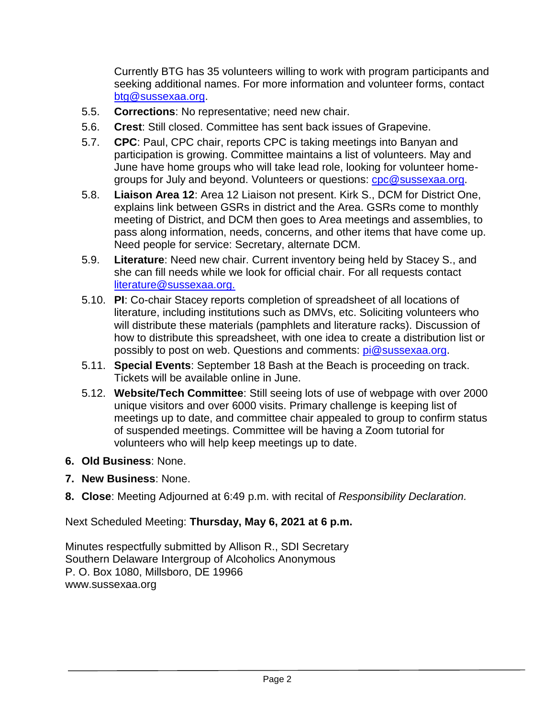Currently BTG has 35 volunteers willing to work with program participants and seeking additional names. For more information and volunteer forms, contact [btg@sussexaa.org.](mailto:btg@sussexaa.org)

- 5.5. **Corrections**: No representative; need new chair.
- 5.6. **Crest**: Still closed. Committee has sent back issues of Grapevine.
- 5.7. **CPC**: Paul, CPC chair, reports CPC is taking meetings into Banyan and participation is growing. Committee maintains a list of volunteers. May and June have home groups who will take lead role, looking for volunteer homegroups for July and beyond. Volunteers or questions: [cpc@sussexaa.org.](mailto:cpc@sussexaa.org)
- 5.8. **Liaison Area 12**: Area 12 Liaison not present. Kirk S., DCM for District One, explains link between GSRs in district and the Area. GSRs come to monthly meeting of District, and DCM then goes to Area meetings and assemblies, to pass along information, needs, concerns, and other items that have come up. Need people for service: Secretary, alternate DCM.
- 5.9. **Literature**: Need new chair. Current inventory being held by Stacey S., and she can fill needs while we look for official chair. For all requests contact [literature@sussexaa.org.](mailto:literature@sussexaa.org.)
- 5.10. **PI**: Co-chair Stacey reports completion of spreadsheet of all locations of literature, including institutions such as DMVs, etc. Soliciting volunteers who will distribute these materials (pamphlets and literature racks). Discussion of how to distribute this spreadsheet, with one idea to create a distribution list or possibly to post on web. Questions and comments: [pi@sussexaa.org.](mailto:pi@sussexaa.org)
- 5.11. **Special Events**: September 18 Bash at the Beach is proceeding on track. Tickets will be available online in June.
- 5.12. **Website/Tech Committee**: Still seeing lots of use of webpage with over 2000 unique visitors and over 6000 visits. Primary challenge is keeping list of meetings up to date, and committee chair appealed to group to confirm status of suspended meetings. Committee will be having a Zoom tutorial for volunteers who will help keep meetings up to date.
- **6. Old Business**: None.
- **7. New Business**: None.
- **8. Close**: Meeting Adjourned at 6:49 p.m. with recital of *Responsibility Declaration.*

Next Scheduled Meeting: **Thursday, May 6, 2021 at 6 p.m.**

Minutes respectfully submitted by Allison R., SDI Secretary Southern Delaware Intergroup of Alcoholics Anonymous P. O. Box 1080, Millsboro, DE 19966 www.sussexaa.org